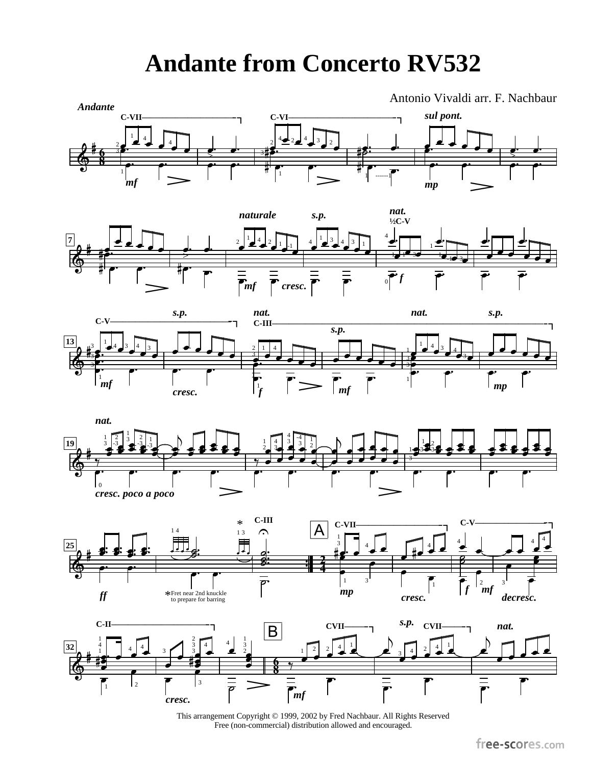## **Andante from Concerto RV532**



This arrangement Copyright © 1999, 2002 by Fred Nachbaur. All Rights Reserved Free (non-commercial) distribution allowed and encouraged.